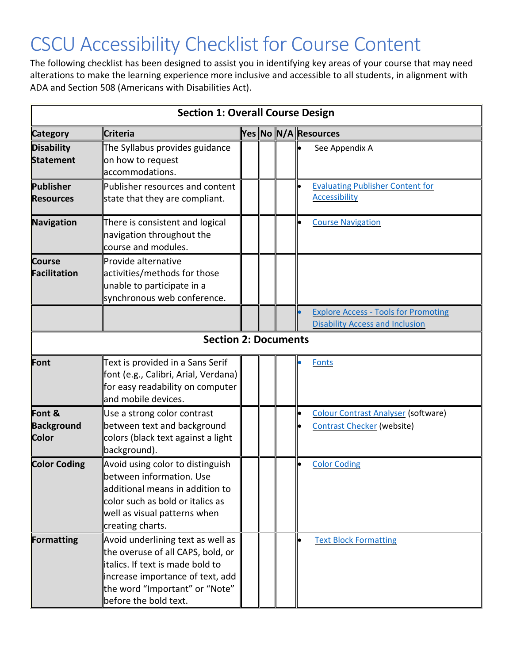## CSCU Accessibility Checklist for Course Content

The following checklist has been designed to assist you in identifying key areas of your course that may need alterations to make the learning experience more inclusive and accessible to all students, in alignment with ADA and Section 508 (Americans with Disabilities Act).

| <b>Section 1: Overall Course Design</b>     |                                                                                                                                                                                                            |  |  |  |                                                                                 |  |  |
|---------------------------------------------|------------------------------------------------------------------------------------------------------------------------------------------------------------------------------------------------------------|--|--|--|---------------------------------------------------------------------------------|--|--|
| <b>Category</b>                             | <b>Criteria</b>                                                                                                                                                                                            |  |  |  | Yes No N/A Resources                                                            |  |  |
| <b>Disability</b><br><b>Statement</b>       | The Syllabus provides guidance<br>on how to request<br>accommodations.                                                                                                                                     |  |  |  | See Appendix A                                                                  |  |  |
| Publisher<br><b>Resources</b>               | Publisher resources and content<br>state that they are compliant.                                                                                                                                          |  |  |  | <b>Evaluating Publisher Content for</b><br><b>Accessibility</b>                 |  |  |
| Navigation                                  | There is consistent and logical<br>navigation throughout the<br>course and modules.                                                                                                                        |  |  |  | <b>Course Navigation</b>                                                        |  |  |
| <b>Course</b><br>Facilitation               | Provide alternative<br>activities/methods for those<br>unable to participate in a<br>synchronous web conference.                                                                                           |  |  |  |                                                                                 |  |  |
|                                             |                                                                                                                                                                                                            |  |  |  | <b>Explore Access - Tools for Promoting</b>                                     |  |  |
|                                             |                                                                                                                                                                                                            |  |  |  | <b>Disability Access and Inclusion</b>                                          |  |  |
|                                             | <b>Section 2: Documents</b>                                                                                                                                                                                |  |  |  |                                                                                 |  |  |
| Font                                        | Text is provided in a Sans Serif<br>font (e.g., Calibri, Arial, Verdana)<br>for easy readability on computer<br>and mobile devices.                                                                        |  |  |  | <b>Fonts</b>                                                                    |  |  |
| Font &<br><b>Background</b><br><b>Color</b> | Use a strong color contrast<br>between text and background<br>colors (black text against a light<br>background).                                                                                           |  |  |  | <b>Colour Contrast Analyser (software)</b><br><b>Contrast Checker (website)</b> |  |  |
| <b>Color Coding</b>                         | Avoid using color to distinguish<br>between information. Use<br>additional means in addition to<br>color such as bold or italics as<br>well as visual patterns when<br>creating charts.                    |  |  |  | <b>Color Coding</b>                                                             |  |  |
| Formatting                                  | Avoid underlining text as well as<br>the overuse of all CAPS, bold, or<br>litalics. If text is made bold to<br>increase importance of text, add<br>the word "Important" or "Note"<br>before the bold text. |  |  |  | <b>Text Block Formatting</b>                                                    |  |  |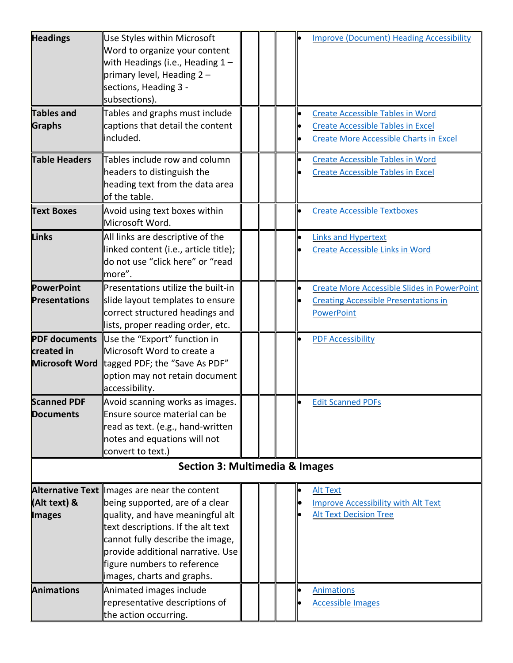| <b>Headings</b>                           | Use Styles within Microsoft<br>Word to organize your content<br>with Headings (i.e., Heading $1-$<br>primary level, Heading $2 -$<br>sections, Heading 3 -<br>subsections).                                                                                                                     |  |  |  |           | <b>Improve (Document) Heading Accessibility</b>                                                                                      |  |
|-------------------------------------------|-------------------------------------------------------------------------------------------------------------------------------------------------------------------------------------------------------------------------------------------------------------------------------------------------|--|--|--|-----------|--------------------------------------------------------------------------------------------------------------------------------------|--|
| <b>Tables and</b><br>Graphs               | Tables and graphs must include<br>captions that detail the content<br>included.                                                                                                                                                                                                                 |  |  |  |           | <b>Create Accessible Tables in Word</b><br><b>Create Accessible Tables in Excel</b><br><b>Create More Accessible Charts in Excel</b> |  |
| <b>Table Headers</b>                      | Tables include row and column<br>headers to distinguish the<br>heading text from the data area<br>of the table.                                                                                                                                                                                 |  |  |  | $\bullet$ | <b>Create Accessible Tables in Word</b><br><b>Create Accessible Tables in Excel</b>                                                  |  |
| <b>Text Boxes</b>                         | Avoid using text boxes within<br>Microsoft Word.                                                                                                                                                                                                                                                |  |  |  |           | <b>Create Accessible Textboxes</b>                                                                                                   |  |
| Links                                     | All links are descriptive of the<br>linked content (i.e., article title);<br>do not use "click here" or "read<br>more".                                                                                                                                                                         |  |  |  |           | <b>Links and Hypertext</b><br><b>Create Accessible Links in Word</b>                                                                 |  |
| <b>PowerPoint</b><br><b>Presentations</b> | Presentations utilize the built-in<br>slide layout templates to ensure<br>correct structured headings and<br>lists, proper reading order, etc.                                                                                                                                                  |  |  |  |           | <b>Create More Accessible Slides in PowerPoint</b><br><b>Creating Accessible Presentations in</b><br>PowerPoint                      |  |
| created in                                | <b>PDF documents</b> Use the "Export" function in<br>Microsoft Word to create a<br><b>Microsoft Word</b> tagged PDF; the "Save As PDF"<br>option may not retain document<br>accessibility.                                                                                                      |  |  |  |           | <b>PDF Accessibility</b>                                                                                                             |  |
| <b>Scanned PDF</b><br><b>Documents</b>    | Avoid scanning works as images.<br>Ensure source material can be<br>read as text. (e.g., hand-written<br>notes and equations will not<br>convert to text.)                                                                                                                                      |  |  |  | lo        | <b>Edit Scanned PDFs</b>                                                                                                             |  |
| <b>Section 3: Multimedia &amp; Images</b> |                                                                                                                                                                                                                                                                                                 |  |  |  |           |                                                                                                                                      |  |
| (Alt text) &<br><b>Images</b>             | Alternative Text lnages are near the content<br>being supported, are of a clear<br>quality, and have meaningful alt<br>text descriptions. If the alt text<br>cannot fully describe the image,<br>provide additional narrative. Use<br>figure numbers to reference<br>images, charts and graphs. |  |  |  |           | <b>Alt Text</b><br><b>Improve Accessibility with Alt Text</b><br><b>Alt Text Decision Tree</b>                                       |  |
| <b>Animations</b>                         | Animated images include<br>representative descriptions of<br>the action occurring.                                                                                                                                                                                                              |  |  |  |           | <b>Animations</b><br><b>Accessible Images</b>                                                                                        |  |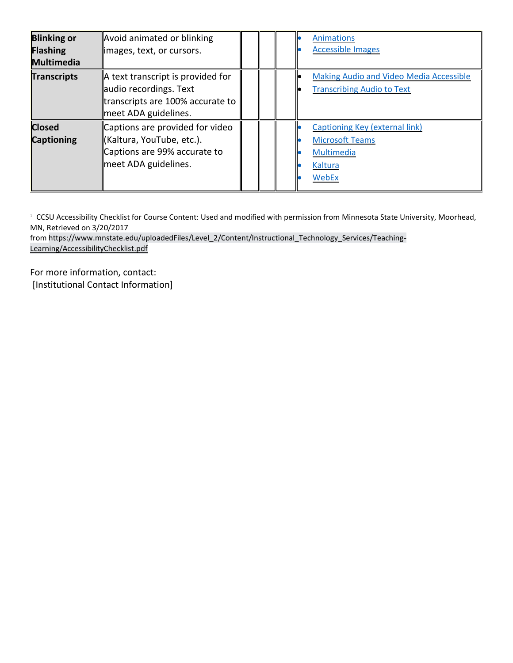| <b>Blinking or</b><br>Flashing<br><b>Multimedia</b> | Avoid animated or blinking<br>images, text, or cursors.                                                                 |  |  | <b>Animations</b><br><b>Accessible Images</b>                                                     |
|-----------------------------------------------------|-------------------------------------------------------------------------------------------------------------------------|--|--|---------------------------------------------------------------------------------------------------|
| <b>Transcripts</b>                                  | A text transcript is provided for<br>audio recordings. Text<br>transcripts are 100% accurate to<br>meet ADA guidelines. |  |  | <b>Making Audio and Video Media Accessible</b><br><b>Transcribing Audio to Text</b>               |
| <b>Closed</b><br><b>Captioning</b>                  | Captions are provided for video<br>∥(Kaltura, YouTube, etc.).<br>Captions are 99% accurate to<br>meet ADA guidelines.   |  |  | <b>Captioning Key (external link)</b><br><b>Microsoft Teams</b><br>Multimedia<br>Kaltura<br>WebEx |

<sup>1</sup> CCSU Accessibility Checklist for Course Content: Used and modified with permission from Minnesota State University, Moorhead, MN, Retrieved on 3/20/2017

from https://www.mnstate.edu/uploadedFiles/Level\_2/Content/Instructional\_Technology\_Services/Teaching-Learning/AccessibilityChecklist.pdf

For more information, contact: [Institutional Contact Information]